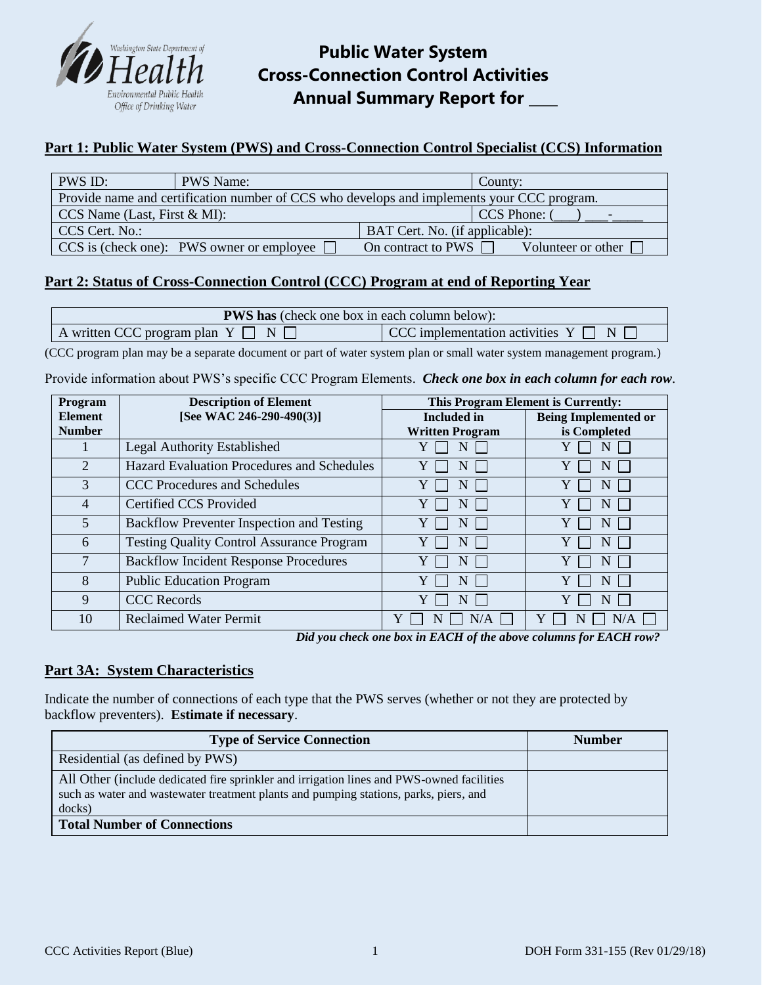

# **Public Water System Cross-Connection Control Activities Annual Summary Report for \_\_\_\_**

# **Part 1: Public Water System (PWS) and Cross-Connection Control Specialist (CCS) Information**

| PWS ID:                                                                                    | <b>PWS Name:</b>                                         |                           | County:              |  |
|--------------------------------------------------------------------------------------------|----------------------------------------------------------|---------------------------|----------------------|--|
| Provide name and certification number of CCS who develops and implements your CCC program. |                                                          |                           |                      |  |
| $\vert$ CCS Name (Last, First & MI):                                                       |                                                          |                           | CCS Phone: (         |  |
| CCS Cert. No.:<br>BAT Cert. No. (if applicable):                                           |                                                          |                           |                      |  |
|                                                                                            | $\vert$ CCS is (check one): PWS owner or employee $\Box$ | On contract to PWS $\Box$ | Volunteer or other [ |  |

# **Part 2: Status of Cross-Connection Control (CCC) Program at end of Reporting Year**

| <b>PWS has</b> (check one box in each column below): |                                                  |  |  |
|------------------------------------------------------|--------------------------------------------------|--|--|
| A written CCC program plan $Y \Box N \Box$           | $\vert$ CCC implementation activities $Y \cap N$ |  |  |

(CCC program plan may be a separate document or part of water system plan or small water system management program.)

Provide information about PWS's specific CCC Program Elements. *Check one box in each column for each row*.

| <b>Description of Element</b><br>Program |                                                   | This Program Element is Currently: |                             |  |
|------------------------------------------|---------------------------------------------------|------------------------------------|-----------------------------|--|
| <b>Element</b>                           | [See WAC 246-290-490(3)]                          | <b>Included</b> in                 | <b>Being Implemented or</b> |  |
| <b>Number</b>                            |                                                   | <b>Written Program</b>             | is Completed                |  |
|                                          | Legal Authority Established                       |                                    | N                           |  |
| $\overline{2}$                           | <b>Hazard Evaluation Procedures and Schedules</b> |                                    | N                           |  |
| 3                                        | <b>CCC Procedures and Schedules</b>               | N                                  | N                           |  |
| $\overline{4}$                           | <b>Certified CCS Provided</b>                     | N                                  | N                           |  |
| 5                                        | Backflow Preventer Inspection and Testing         | N                                  | N                           |  |
| 6                                        | <b>Testing Quality Control Assurance Program</b>  | N                                  | N                           |  |
| 7                                        | <b>Backflow Incident Response Procedures</b>      | N                                  | N                           |  |
| 8                                        | <b>Public Education Program</b>                   | N                                  | N                           |  |
| 9                                        | <b>CCC</b> Records                                |                                    | N                           |  |
| 10                                       | <b>Reclaimed Water Permit</b>                     | N/A                                | N/A                         |  |

*Did you check one box in EACH of the above columns for EACH row?*

### **Part 3A: System Characteristics**

Indicate the number of connections of each type that the PWS serves (whether or not they are protected by backflow preventers). **Estimate if necessary**.

| <b>Type of Service Connection</b>                                                                                                                                                            | <b>Number</b> |
|----------------------------------------------------------------------------------------------------------------------------------------------------------------------------------------------|---------------|
| Residential (as defined by PWS)                                                                                                                                                              |               |
| All Other (include dedicated fire sprinkler and irrigation lines and PWS-owned facilities<br>such as water and wastewater treatment plants and pumping stations, parks, piers, and<br>docks) |               |
| <b>Total Number of Connections</b>                                                                                                                                                           |               |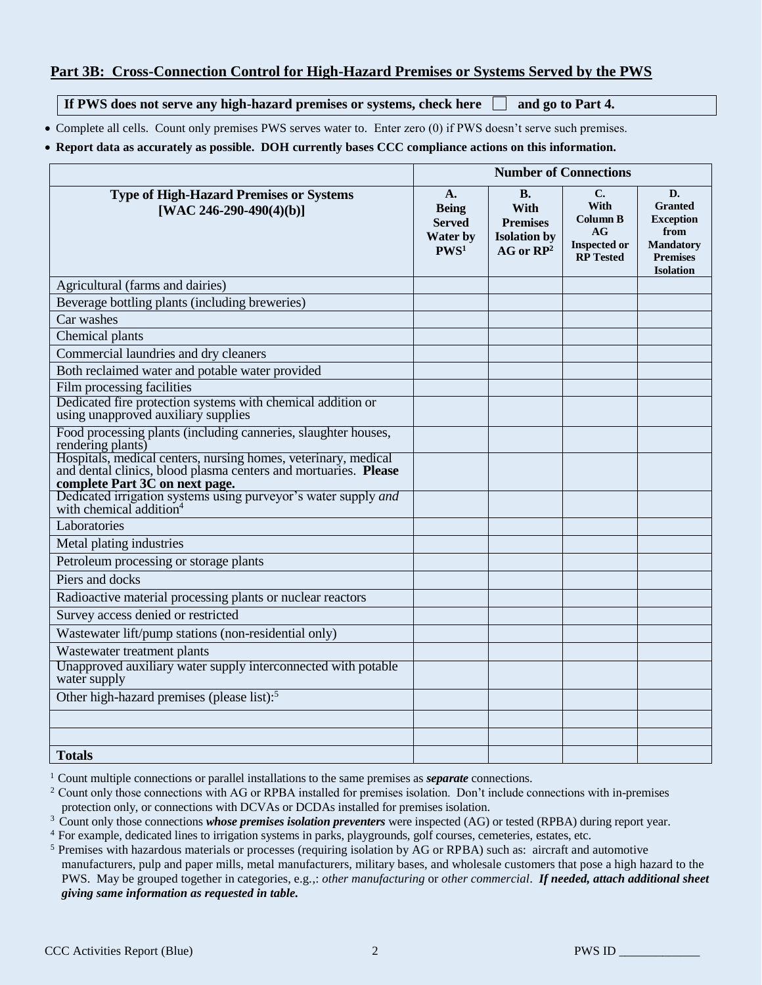### **Part 3B: Cross-Connection Control for High-Hazard Premises or Systems Served by the PWS**

**If PWS does not serve any high-hazard premises or systems, check here and go to Part 4.** 

• Complete all cells. Count only premises PWS serves water to. Enter zero (0) if PWS doesn't serve such premises.

#### **Report data as accurately as possible. DOH currently bases CCC compliance actions on this information.**

|                                                                                                                                                                     | <b>Number of Connections</b>                                               |                                                                               |                                                                                |                                                                                                             |
|---------------------------------------------------------------------------------------------------------------------------------------------------------------------|----------------------------------------------------------------------------|-------------------------------------------------------------------------------|--------------------------------------------------------------------------------|-------------------------------------------------------------------------------------------------------------|
| <b>Type of High-Hazard Premises or Systems</b><br>[WAC 246-290-490(4)(b)]                                                                                           | A.<br><b>Being</b><br><b>Served</b><br><b>Water by</b><br>PWS <sup>1</sup> | <b>B.</b><br>With<br><b>Premises</b><br><b>Isolation by</b><br>$AG$ or $RP^2$ | C.<br>With<br><b>Column B</b><br>AG<br><b>Inspected or</b><br><b>RP</b> Tested | D.<br><b>Granted</b><br><b>Exception</b><br>from<br><b>Mandatory</b><br><b>Premises</b><br><b>Isolation</b> |
| Agricultural (farms and dairies)                                                                                                                                    |                                                                            |                                                                               |                                                                                |                                                                                                             |
| Beverage bottling plants (including breweries)                                                                                                                      |                                                                            |                                                                               |                                                                                |                                                                                                             |
| Car washes                                                                                                                                                          |                                                                            |                                                                               |                                                                                |                                                                                                             |
| Chemical plants                                                                                                                                                     |                                                                            |                                                                               |                                                                                |                                                                                                             |
| Commercial laundries and dry cleaners                                                                                                                               |                                                                            |                                                                               |                                                                                |                                                                                                             |
| Both reclaimed water and potable water provided                                                                                                                     |                                                                            |                                                                               |                                                                                |                                                                                                             |
| Film processing facilities                                                                                                                                          |                                                                            |                                                                               |                                                                                |                                                                                                             |
| Dedicated fire protection systems with chemical addition or<br>using unapproved auxiliary supplies                                                                  |                                                                            |                                                                               |                                                                                |                                                                                                             |
| Food processing plants (including canneries, slaughter houses,<br>rendering plants)                                                                                 |                                                                            |                                                                               |                                                                                |                                                                                                             |
| Hospitals, medical centers, nursing homes, veterinary, medical<br>and dental clinics, blood plasma centers and mortuaries. Please<br>complete Part 3C on next page. |                                                                            |                                                                               |                                                                                |                                                                                                             |
| Dedicated irrigation systems using purveyor's water supply and<br>with chemical addition <sup>4</sup>                                                               |                                                                            |                                                                               |                                                                                |                                                                                                             |
| Laboratories                                                                                                                                                        |                                                                            |                                                                               |                                                                                |                                                                                                             |
| Metal plating industries                                                                                                                                            |                                                                            |                                                                               |                                                                                |                                                                                                             |
| Petroleum processing or storage plants                                                                                                                              |                                                                            |                                                                               |                                                                                |                                                                                                             |
| Piers and docks                                                                                                                                                     |                                                                            |                                                                               |                                                                                |                                                                                                             |
| Radioactive material processing plants or nuclear reactors                                                                                                          |                                                                            |                                                                               |                                                                                |                                                                                                             |
| Survey access denied or restricted                                                                                                                                  |                                                                            |                                                                               |                                                                                |                                                                                                             |
| Wastewater lift/pump stations (non-residential only)                                                                                                                |                                                                            |                                                                               |                                                                                |                                                                                                             |
| Wastewater treatment plants                                                                                                                                         |                                                                            |                                                                               |                                                                                |                                                                                                             |
| Unapproved auxiliary water supply interconnected with potable<br>water supply                                                                                       |                                                                            |                                                                               |                                                                                |                                                                                                             |
| Other high-hazard premises (please list): <sup>5</sup>                                                                                                              |                                                                            |                                                                               |                                                                                |                                                                                                             |
|                                                                                                                                                                     |                                                                            |                                                                               |                                                                                |                                                                                                             |
|                                                                                                                                                                     |                                                                            |                                                                               |                                                                                |                                                                                                             |
| <b>Totals</b>                                                                                                                                                       |                                                                            |                                                                               |                                                                                |                                                                                                             |

<sup>1</sup> Count multiple connections or parallel installations to the same premises as *separate* connections.

 $2$  Count only those connections with AG or RPBA installed for premises isolation. Don't include connections with in-premises protection only, or connections with DCVAs or DCDAs installed for premises isolation.

<sup>3</sup> Count only those connections *whose premises isolation preventers* were inspected (AG) or tested (RPBA) during report year.

<sup>4</sup> For example, dedicated lines to irrigation systems in parks, playgrounds, golf courses, cemeteries, estates, etc.

<sup>5</sup> Premises with hazardous materials or processes (requiring isolation by AG or RPBA) such as: aircraft and automotive manufacturers, pulp and paper mills, metal manufacturers, military bases, and wholesale customers that pose a high hazard to the PWS. May be grouped together in categories, e.g.,: *other manufacturing* or *other commercial*. *If needed, attach additional sheet giving same information as requested in table.*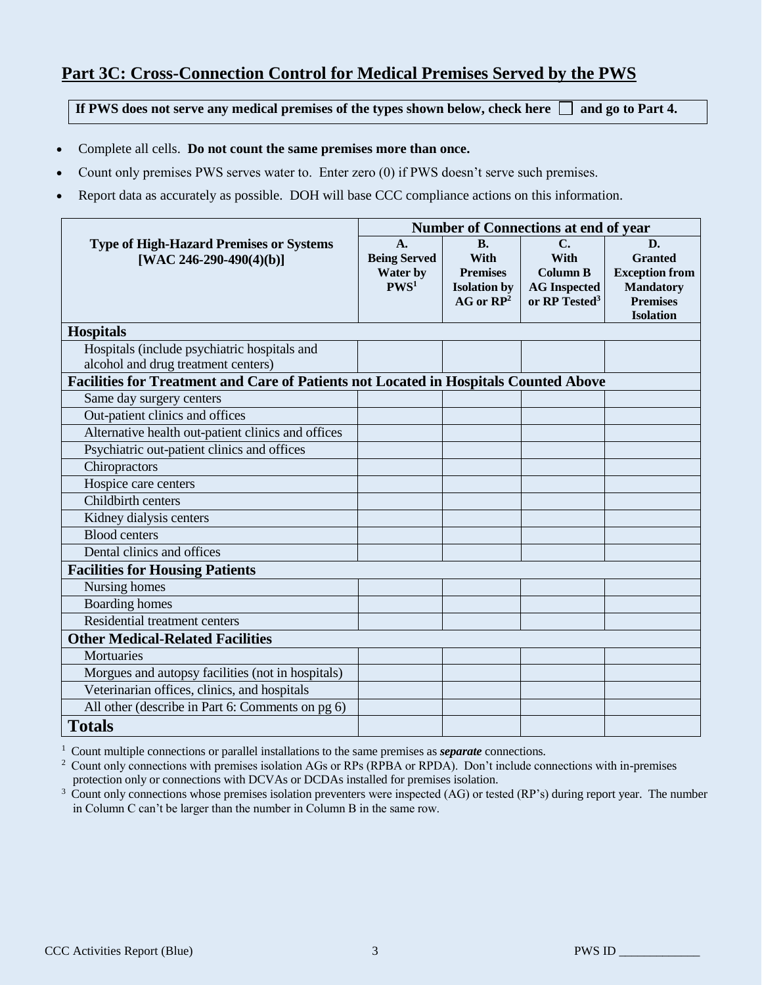# **Part 3C: Cross-Connection Control for Medical Premises Served by the PWS**

If PWS does not serve any medical premises of the types shown below, check here  $\Box$  and go to Part 4.

- Complete all cells. **Do not count the same premises more than once.**
- Count only premises PWS serves water to. Enter zero (0) if PWS doesn't serve such premises.
- Report data as accurately as possible. DOH will base CCC compliance actions on this information.

|                                                                                      | Number of Connections at end of year |                     |                           |                       |
|--------------------------------------------------------------------------------------|--------------------------------------|---------------------|---------------------------|-----------------------|
| <b>Type of High-Hazard Premises or Systems</b>                                       | A.                                   | B.                  | $C_{\bullet}$             | D.                    |
| [WAC 246-290-490(4)(b)]                                                              | <b>Being Served</b>                  | <b>With</b>         | <b>With</b>               | <b>Granted</b>        |
|                                                                                      | Water by                             | <b>Premises</b>     | <b>Column B</b>           | <b>Exception from</b> |
|                                                                                      | PWS <sup>1</sup>                     | <b>Isolation by</b> | <b>AG</b> Inspected       | <b>Mandatory</b>      |
|                                                                                      |                                      | $AG$ or $RP^2$      | or RP Tested <sup>3</sup> | <b>Premises</b>       |
|                                                                                      |                                      |                     |                           | <b>Isolation</b>      |
| <b>Hospitals</b>                                                                     |                                      |                     |                           |                       |
| Hospitals (include psychiatric hospitals and                                         |                                      |                     |                           |                       |
| alcohol and drug treatment centers)                                                  |                                      |                     |                           |                       |
| Facilities for Treatment and Care of Patients not Located in Hospitals Counted Above |                                      |                     |                           |                       |
| Same day surgery centers                                                             |                                      |                     |                           |                       |
| Out-patient clinics and offices                                                      |                                      |                     |                           |                       |
| Alternative health out-patient clinics and offices                                   |                                      |                     |                           |                       |
| Psychiatric out-patient clinics and offices                                          |                                      |                     |                           |                       |
| Chiropractors                                                                        |                                      |                     |                           |                       |
| Hospice care centers                                                                 |                                      |                     |                           |                       |
| Childbirth centers                                                                   |                                      |                     |                           |                       |
| Kidney dialysis centers                                                              |                                      |                     |                           |                       |
| <b>Blood centers</b>                                                                 |                                      |                     |                           |                       |
| Dental clinics and offices                                                           |                                      |                     |                           |                       |
| <b>Facilities for Housing Patients</b>                                               |                                      |                     |                           |                       |
| Nursing homes                                                                        |                                      |                     |                           |                       |
| <b>Boarding homes</b>                                                                |                                      |                     |                           |                       |
| Residential treatment centers                                                        |                                      |                     |                           |                       |
| <b>Other Medical-Related Facilities</b>                                              |                                      |                     |                           |                       |
| Mortuaries                                                                           |                                      |                     |                           |                       |
| Morgues and autopsy facilities (not in hospitals)                                    |                                      |                     |                           |                       |
| Veterinarian offices, clinics, and hospitals                                         |                                      |                     |                           |                       |
| All other (describe in Part 6: Comments on pg 6)                                     |                                      |                     |                           |                       |
| <b>Totals</b>                                                                        |                                      |                     |                           |                       |

<sup>1</sup> Count multiple connections or parallel installations to the same premises as *separate* connections.<br><sup>2</sup> Count only connections with premises isolation AGs or RPs (RPBA or RPDA). Don't include con

<sup>2</sup>Count only connections with premises isolation AGs or RPs (RPBA or RPDA). Don't include connections with in-premises protection only or connections with DCVAs or DCDAs installed for premises isolation.

<sup>3</sup> Count only connections whose premises isolation preventers were inspected (AG) or tested (RP's) during report year. The number in Column C can't be larger than the number in Column B in the same row.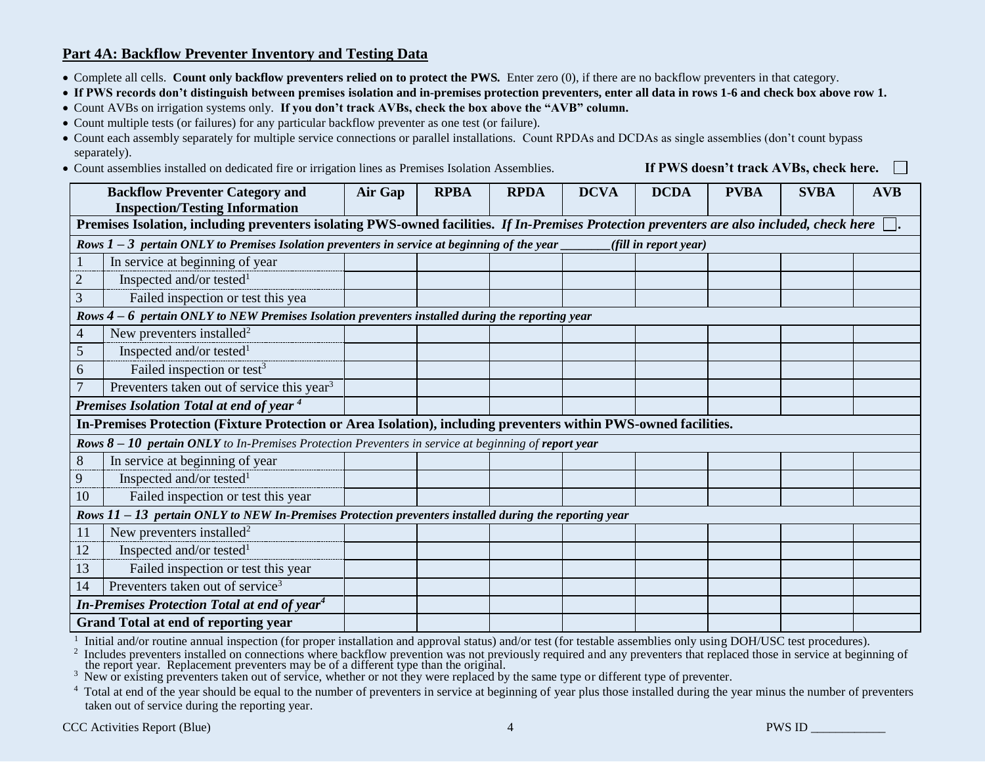### **Part 4A: Backflow Preventer Inventory and Testing Data**

Complete all cells. **Count only backflow preventers relied on to protect the PWS***.* Enter zero (0), if there are no backflow preventers in that category.

**If PWS records don't distinguish between premises isolation and in-premises protection preventers, enter all data in rows 1-6 and check box above row 1.**

Count AVBs on irrigation systems only. **If you don't track AVBs, check the box above the "AVB" column.**

Count multiple tests (or failures) for any particular backflow preventer as one test (or failure).

- Count each assembly separately for multiple service connections or parallel installations. Count RPDAs and DCDAs as single assemblies (don't count bypass separately).
- Count assemblies installed on dedicated fire or irrigation lines as Premises Isolation Assemblies. **If PWS doesn't track AVBs, check here.**

**Backflow Preventer Category and Inspection/Testing Information Air Gap RPBA RPDA DCVA DCDA PVBA SVBA AVB Premises Isolation, including preventers isolating PWS-owned facilities.** *If In-Premises Protection preventers are also included, check here* **.**  *Rows 1 – 3 pertain ONLY to Premises Isolation preventers in service at beginning of the year \_\_\_\_\_\_\_\_(fill in report year)* 1 In service at beginning of year 2 *Rows 4* **– 6** pertain ONLY to NEW Premises Isolation preventers installed during the reporting year  $\overline{4}$  $\frac{1}{\epsilon}$  $\frac{3}{1}$  $6 \overline{6}$  $\overline{7}$ *Premises Isolation Total at end of year* <sup>4</sup> in **In-Premises Protection (Fixture Protection or Area Isolation), including preventers within PWS-owned facilities.** 20 *Rows 8 – 10 pertain ONLY to In-Premises Protection Preventers in service at beginning of report year* 8 Inspected and/or tested $1$ 3 Failed inspection or test this year. New preventers installed<sup>2</sup>  $\overline{5}$  Inspected and/or tested<sup>1</sup> Failed inspection or test<sup>3</sup> Preventers taken out of service this year<sup>3</sup> In service at beginning of year 9 Inspected and/or tested<sup>1</sup> 10 **Failed inspection or test this year** *Rows 11 – 13 pertain ONLY to NEW In-Premises Protection preventers installed during the reporting year* 11 New preventers installed<sup>2</sup> 12 Inspected and/or tested<sup>1</sup> 13 Failed inspection or test this year 14 Preventers taken out of service<sup>3</sup> *In-Premises Protection Total at end of year<sup>4</sup>* **Grand Total at end of reporting year**

1 Initial and/or routine annual inspection (for proper installation and approval status) and/or test (for testable assemblies only using DOH/USC test procedures).

2 Includes preventers installed on connections where backflow prevention was not previously required and any preventers that replaced those in service at beginning of the report year. Replacement preventers may be of a different type than the original.

3 New or existing preventers taken out of service, whether or not they were replaced by the same type or different type of preventer.

<sup>4</sup> Total at end of the year should be equal to the number of preventers in service at beginning of year plus those installed during the year minus the number of preventers taken out of service during the reporting year.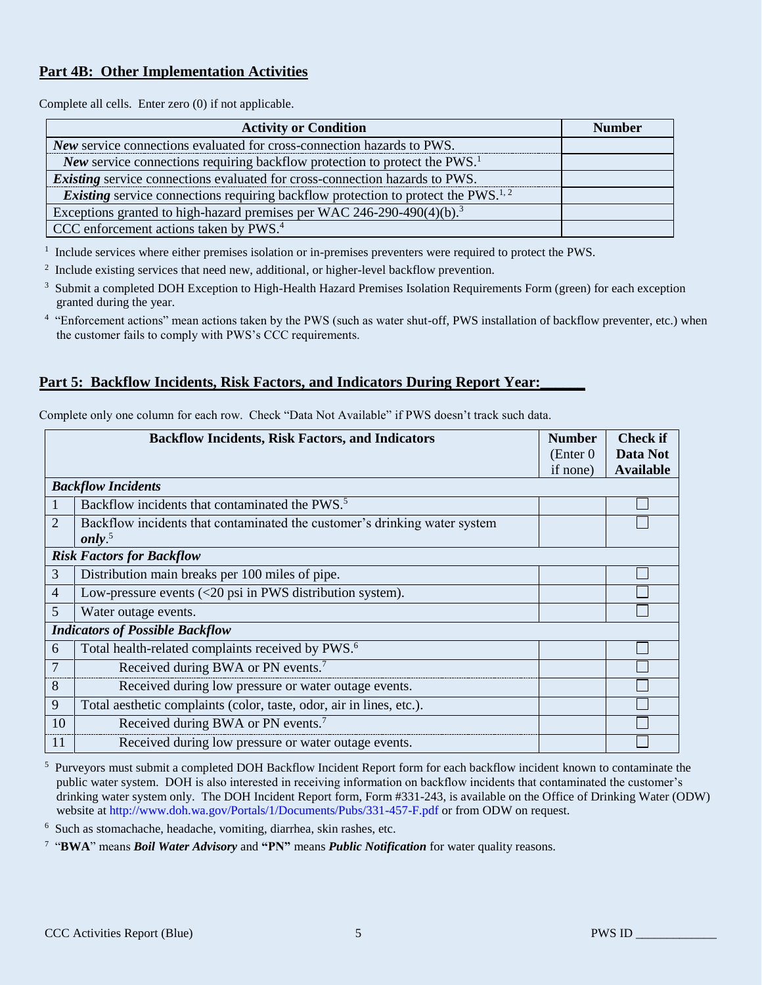# **Part 4B: Other Implementation Activities**

Complete all cells. Enter zero (0) if not applicable.

| <b>Activity or Condition</b>                                                                         | <b>Number</b> |
|------------------------------------------------------------------------------------------------------|---------------|
| New service connections evaluated for cross-connection hazards to PWS.                               |               |
| New service connections requiring backflow protection to protect the PWS. <sup>1</sup>               |               |
| <i>Existing</i> service connections evaluated for cross-connection hazards to PWS.                   |               |
| <i>Existing</i> service connections requiring backflow protection to protect the PWS. <sup>1,2</sup> |               |
| Exceptions granted to high-hazard premises per WAC 246-290-490(4)(b). <sup>3</sup>                   |               |
| CCC enforcement actions taken by PWS. <sup>4</sup>                                                   |               |

<sup>1</sup> Include services where either premises isolation or in-premises preventers were required to protect the PWS.

- <sup>2</sup> Include existing services that need new, additional, or higher-level backflow prevention.
- <sup>3</sup> Submit a completed DOH Exception to High-Health Hazard Premises Isolation Requirements Form (green) for each exception granted during the year.
- <sup>4</sup> "Enforcement actions" mean actions taken by the PWS (such as water shut-off, PWS installation of backflow preventer, etc.) when the customer fails to comply with PWS's CCC requirements.

### **Part 5: Backflow Incidents, Risk Factors, and Indicators During Report Year:**

|                | <b>Backflow Incidents, Risk Factors, and Indicators</b>                                  | <b>Number</b> | Check if         |
|----------------|------------------------------------------------------------------------------------------|---------------|------------------|
|                |                                                                                          | (Enter 0)     | Data Not         |
|                |                                                                                          | if none)      | <b>Available</b> |
|                | <b>Backflow Incidents</b>                                                                |               |                  |
|                | Backflow incidents that contaminated the PWS. <sup>5</sup>                               |               |                  |
| 2              | Backflow incidents that contaminated the customer's drinking water system                |               |                  |
|                | only. $5$                                                                                |               |                  |
|                | <b>Risk Factors for Backflow</b>                                                         |               |                  |
| 3              | Distribution main breaks per 100 miles of pipe.                                          |               |                  |
| $\overline{4}$ | Low-pressure events $\left( \langle 20 \rangle \right)$ psi in PWS distribution system). |               |                  |
| 5              | Water outage events.                                                                     |               |                  |

Complete only one column for each row. Check "Data Not Available" if PWS doesn't track such data.

| <sup>5</sup> Purveyors must submit a completed DOH Backflow Incident Report form for each backflow incident known to contaminate the |
|--------------------------------------------------------------------------------------------------------------------------------------|
|                                                                                                                                      |
| public water system. DOH is also interested in receiving information on backflow incidents that contaminated the customer's          |
| drinking water system only. The DOH Incident Report form, Form #331-243, is available on the Office of Drinking Water (ODW)          |
| website at http://www.doh.wa.gov/Portals/1/Documents/Pubs/331-457-F.pdf or from ODW on request.                                      |

6 Such as stomachache, headache, vomiting, diarrhea, skin rashes, etc.

6 Total health-related complaints received by PWS.<sup>6</sup> 7 Received during BWA or PN events.<sup>7</sup>

10 Received during BWA or PN events.<sup>7</sup>

8 Received during low pressure or water outage events. 9 Total aesthetic complaints (color, taste, odor, air in lines, etc.).

11 Received during low pressure or water outage events.

7 "**BWA**" means *Boil Water Advisory* and **"PN"** means *Public Notification* for water quality reasons.

*Indicators of Possible Backflow* 

L.